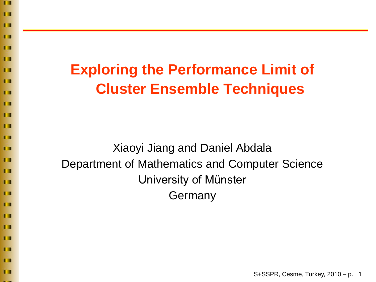$\blacksquare$ п  $\blacksquare$ m п ПП П п П **TT** П П П п П  $\blacksquare$ ш m п П

П

П

П

П

п

# **Exploring the Performance Limit of Cluster Ensemble Techniques**

Xiaoyi Jiang and Daniel Abdala Department of Mathematics and Computer Science University of Münster Germany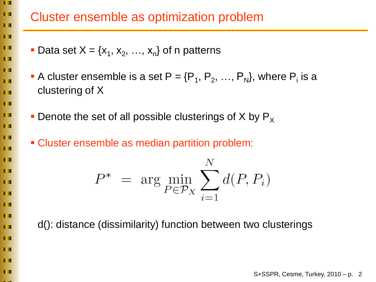| <b>TELEVISION</b><br>n m | <b>Cluster</b>           |
|--------------------------|--------------------------|
| <b>II</b>                |                          |
| П                        |                          |
| П.                       | <b>Data some</b>         |
| П                        |                          |
| <b>. .</b>               | <b>- A clust</b>         |
| ш                        | cluster                  |
| П                        |                          |
| П                        | Denote<br>$\blacksquare$ |
| П                        |                          |
| п                        | • Cluster                |
| П                        |                          |
| П                        |                          |
| П                        |                          |
| <b>TT</b>                |                          |
| П                        |                          |
| П                        |                          |
| <b>Fill</b>              |                          |
| Ш                        | $d()$ : dis              |
| ш                        |                          |
| П                        |                          |
| П                        |                          |
| П                        |                          |
|                          |                          |

m

#### rensemble as optimization problem

- Data set  $X = \{x_1, x_2, ..., x_n\}$  of n patterns
- A cluster ensemble is a set  $P = \{P_1, P_2, ..., P_N\}$ , where  $P_i$  is a ing of  $X$
- e the set of all possible clusterings of X by  $\mathsf{P}_\mathsf{x}$ 
	- r ensemble as median partition problem:

$$
P^* = \arg\min_{P \in \mathcal{P}_X} \sum_{i=1}^N d(P, P_i)
$$

tance (dissimilarity) function between two clusterings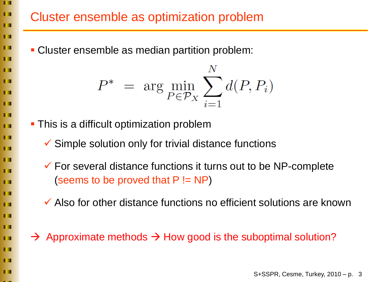## Cluster ensemble as optimization problem

Cluster ensemble as median partition problem:

$$
P^* = \arg\min_{P \in \mathcal{P}_X} \sum_{i=1}^N d(P, P_i)
$$

**This is a difficult optimization problem** 

п

 $\blacksquare$ 

п

H

п

 $\blacksquare$ 

m

П

ш

П

**TT** 

п

 $\blacksquare$ 

П

 $\blacksquare$ 

П

 $\blacksquare$ 

п

п

п

п

 $\blacksquare$ 

п

 $\blacksquare$ 

П

- $\checkmark$  Simple solution only for trivial distance functions
- $\checkmark$  For several distance functions it turns out to be NP-complete (seems to be proved that  $P := NP$ )
- $\checkmark$  Also for other distance functions no efficient solutions are known
- $\rightarrow$  Approximate methods  $\rightarrow$  How good is the suboptimal solution?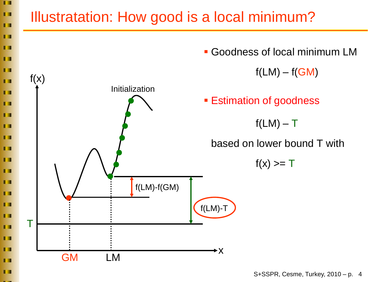

S+SSPR, Cesme, Turkey, 2010 – p. 4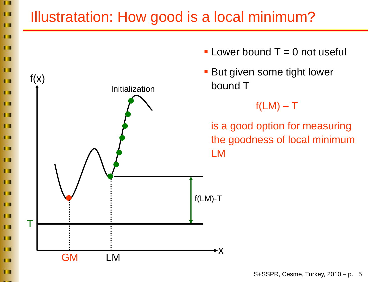#### п  $\blacksquare$ Illustratation: How good is a local minimum? п  $\blacksquare$ п **- Lower bound T** = 0 not useful  $\blacksquare$ п **But given some tight lower**  $f(x)$  $\blacksquare$ bound T Initialization п п  $f(LM) - T$ **TE** is a good option for measuring п п the goodness of local minimum П LM П П  $\blacksquare$ ш f(LM)-T п T I Tп П П x GM LM п

П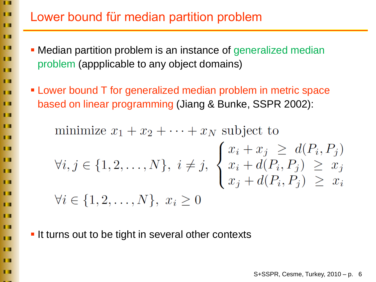### Lower bound für median partition problem

п

 $\blacksquare$ 

п

 $\blacksquare$ 

ш

 $\blacksquare$ 

П

 $\blacksquare$ 

п

п

 $\blacksquare$ 

п

T 3

П

п

П

 $\blacksquare$ 

п

п

T I

п

T 3

п

п

П

- Median partition problem is an instance of generalized median problem (appplicable to any object domains)
- Lower bound T for generalized median problem in metric space based on linear programming (Jiang & Bunke, SSPR 2002):

minimize  $x_1 + x_2 + \cdots + x_N$  subject to  $\begin{aligned} \forall i,j \in \{1,2,\ldots,N\}, \ i \neq j, \ \begin{cases} \ x_i + x_j \ \geq \ d(P_i,P_j) \\ x_i + d(P_i,P_j) \ \geq \ x_j \\ x_j + d(P_i,P_j) \ \geq \ x_i \end{cases} \\ \forall i \in \{1,2,\ldots,N\}, \ x_i \geq 0 \end{aligned}$ 

**If turns out to be tight in several other contexts**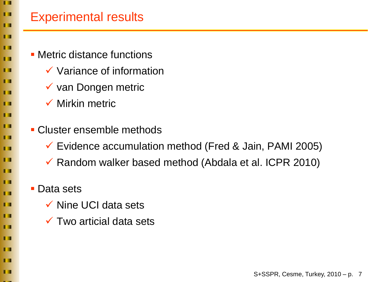П

П

П

П

П

П

#### Experimental results

- **Metric distance functions** 
	- $\checkmark$  Variance of information
	- $\checkmark$  van Dongen metric
	- $\checkmark$  Mirkin metric
- Cluster ensemble methods
	- Evidence accumulation method (Fred & Jain, PAMI 2005)
	- $\checkmark$  Random walker based method (Abdala et al. ICPR 2010)
	- **Data sets** 
		- $\checkmark$  Nine UCI data sets
		- $\checkmark$  Two articial data sets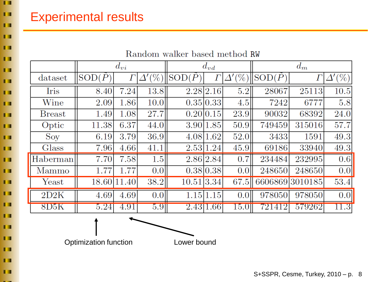п

 $\blacksquare$ 

 $\blacksquare$ 

H

п

 $\blacksquare$ 

**TE** 

П

| П              | Random walker based method RW |                 |             |                  |            |             |                  |                 |             |               |
|----------------|-------------------------------|-----------------|-------------|------------------|------------|-------------|------------------|-----------------|-------------|---------------|
| $\blacksquare$ |                               | $d_{\bm{vi}}$   |             |                  | $d_{vd}$   |             |                  | $d_m$           |             |               |
| $\blacksquare$ | dataset                       | $\text{SOD}(P)$ | $\Gamma$    | $\Delta'(\%)$    | SOD(P)     | $\varGamma$ | $\varDelta'(\%)$ | $\text{SOD}(P)$ | $\varGamma$ | $\Delta'(\%)$ |
| п              | Iris                          | 8.40            | 7.24        | 13.8             |            | 2.28 2.16   | 5.2              | 28067           | 25113       | 10.5          |
| П              | Wine                          | 2.09            | 1.86        | 10.0             |            | 0.35 0.33   | 4.5              | 7242            | 6777        | 5.8           |
| H              | <b>Breast</b>                 | 1.49            | 1.08        | 27.7             |            | 0.20 0.15   | 23.9             | 90032           | 68392       | 24.0          |
| П              | Optic                         | 11.38           | 6.37        | 44.0             |            | 3.90 1.85   | 50.9             | 749459          | 315016      | 57.7          |
| П              | Sov                           | 6.19            | 3.79        | 36.9             |            | 4.08 1.62   | 52.0             | 3433            | 1591        | 49.3          |
| П              | Glass                         | 7.96            | 4.66        | 41.1             |            | 2.53 1.24   | 45.9             | 69186           | 33940       | 49.3          |
| $\blacksquare$ | Haberman                      | 7.70            | 7.58        | 1.5              |            | 2.86 2.84   | 0.7              | 234484          | 232995      | 0.6           |
| $\blacksquare$ | Mammo                         | 1.77            | 1.77        | 0.0 <sub>l</sub> |            | 0.38 0.38   | 0.0              | 248650          | 248650      | 0.0           |
| $\blacksquare$ | $\text{Yeast}$                |                 | 18.60 11.40 | 38.2             | 10.51 3.34 |             | 67.5             | 6606869 3010185 |             | 53.4          |
| П              | 2D2K                          | 4.69            | 4.69        | 0.0              |            | 1.15 1.15   | 0.0 <sub>l</sub> | 978050          | 978050      | 0.0           |
| П              | 8D5K                          | 5.24            | 4.91        | 5.9              |            | 2.43 1.66   | 15.01            | 721412          | 579262      | 11.3          |
| $\blacksquare$ |                               |                 |             |                  |            |             |                  |                 |             |               |
| $\blacksquare$ |                               |                 |             |                  |            |             |                  |                 |             |               |
| п.             |                               |                 |             |                  |            |             |                  |                 |             |               |

Optimization function Lower bound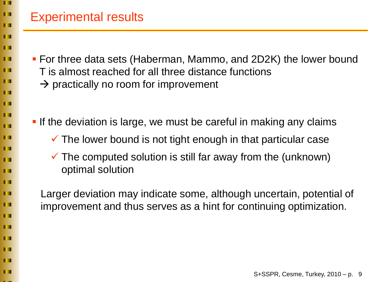$\blacksquare$ 

П

 $\blacksquare$ 

П

 $\blacksquare$ 

п

П

**TT** 

п

H

П

П

П

#### Experimental results

- For three data sets (Haberman, Mammo, and 2D2K) the lower bound T is almost reached for all three distance functions
	- $\rightarrow$  practically no room for improvement
- **If the deviation is large, we must be careful in making any claims** 
	- $\checkmark$  The lower bound is not tight enough in that particular case
	- $\checkmark$  The computed solution is still far away from the (unknown) optimal solution
	- Larger deviation may indicate some, although uncertain, potential of improvement and thus serves as a hint for continuing optimization.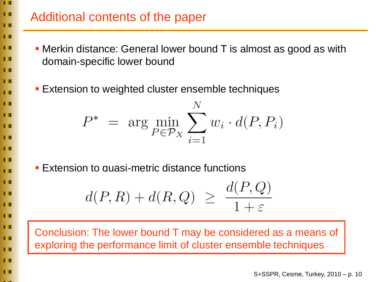#### $\blacksquare$ п

 $\blacksquare$ 

m

п

ПП

П

ш

П

**TT** 

m

П

Ш

п

П

 $\blacksquare$ 

ш

П

**TT** 

п

П

п

П

П

п

- Additional contents of the paper
	- Merkin distance: General lower bound T is almost as good as with domain-specific lower bound
		- **Extension to weighted cluster ensemble techniques**

$$
P^* = \arg\min_{P \in \mathcal{P}_X} \sum_{i=1}^N w_i \cdot d(P, P_i)
$$

**Extension to quasi-metric distance functions** 

$$
d(P,R) + d(R,Q) \ \geq \ \frac{d(P,Q)}{1+\varepsilon}
$$

Conclusion: The lower bound T may be considered as a means of exploring the performance limit of cluster ensemble techniques